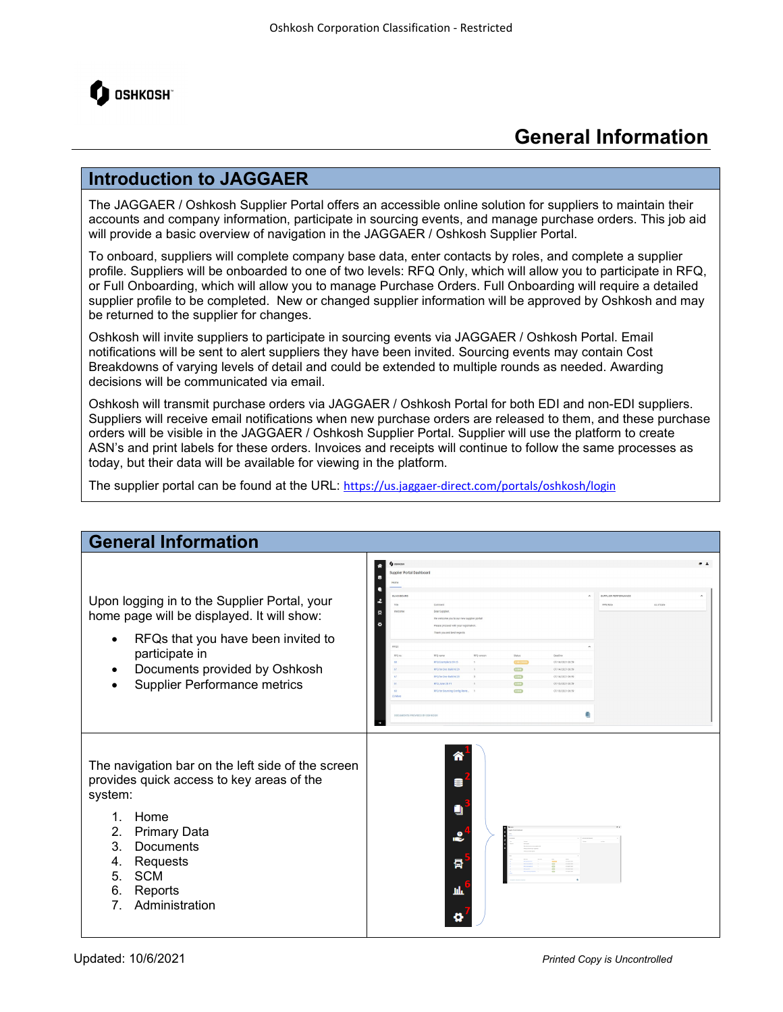

## **General Information**

## **Introduction to JAGGAER**

The JAGGAER / Oshkosh Supplier Portal offers an accessible online solution for suppliers to maintain their accounts and company information, participate in sourcing events, and manage purchase orders. This job aid will provide a basic overview of navigation in the JAGGAER / Oshkosh Supplier Portal.

To onboard, suppliers will complete company base data, enter contacts by roles, and complete a supplier profile. Suppliers will be onboarded to one of two levels: RFQ Only, which will allow you to participate in RFQ, or Full Onboarding, which will allow you to manage Purchase Orders. Full Onboarding will require a detailed supplier profile to be completed. New or changed supplier information will be approved by Oshkosh and may be returned to the supplier for changes.

Oshkosh will invite suppliers to participate in sourcing events via JAGGAER / Oshkosh Portal. Email notifications will be sent to alert suppliers they have been invited. Sourcing events may contain Cost Breakdowns of varying levels of detail and could be extended to multiple rounds as needed. Awarding decisions will be communicated via email.

Oshkosh will transmit purchase orders via JAGGAER / Oshkosh Portal for both EDI and non-EDI suppliers. Suppliers will receive email notifications when new purchase orders are released to them, and these purchase orders will be visible in the JAGGAER / Oshkosh Supplier Portal. Supplier will use the platform to create ASN's and print labels for these orders. Invoices and receipts will continue to follow the same processes as today, but their data will be available for viewing in the platform.

The supplier portal can be found at the URL: <https://us.jaggaer-direct.com/portals/oshkosh/login>

| <b>General Information</b>                                                                                                                                                                                                                                                     |                                                                                                                                                                                                                                                                                                                                                                                                                                                                                                                                                                                                                     |      |
|--------------------------------------------------------------------------------------------------------------------------------------------------------------------------------------------------------------------------------------------------------------------------------|---------------------------------------------------------------------------------------------------------------------------------------------------------------------------------------------------------------------------------------------------------------------------------------------------------------------------------------------------------------------------------------------------------------------------------------------------------------------------------------------------------------------------------------------------------------------------------------------------------------------|------|
| Upon logging in to the Supplier Portal, your<br>home page will be displayed. It will show:<br>RFQs that you have been invited to<br>participate in<br>Documents provided by Oshkosh<br><b>Supplier Performance metrics</b>                                                     | <b>Q</b> covecor<br>Supplier Portal Dashboard<br>BLACKBOARD<br>$\hat{\phantom{a}}$<br>SUPPLIER PERFORMANCE<br>PEMBA<br>As of Date<br>Dear Supplier<br>the welcome you to our new supplier port<br>Please proceed with your registratio<br>Thank you and best regar<br>RFQ name<br><b>RFO Example 6/29 vd</b><br>outcon<br>07/14/2021 06:59<br>COMP.<br>07/14/2021 00:59<br><b>RFO for Doc Build 6/2</b><br><b>COM</b><br>07/14/2021 06:59<br><b>PPQ for Doc Build 6/2</b><br>COM <sub>3</sub><br>07/13/2021 06:59<br><b>COM</b><br><b>PPO for Sourcing</b><br>07/13/2021 00:50<br>g<br>DOCUMENTS PROVIDED BY OSHOOD | $-1$ |
| The navigation bar on the left side of the screen<br>provides quick access to key areas of the<br>system:<br>Home<br>$\mathbf{1}$ .<br>2.<br><b>Primary Data</b><br>3.<br>Documents<br>Requests<br>4.<br>5.<br><b>SCM</b><br>6.<br>Reports<br>7 <sub>1</sub><br>Administration | 合<br>a<br>0<br>$\cdot$<br>骨<br>щF                                                                                                                                                                                                                                                                                                                                                                                                                                                                                                                                                                                   |      |